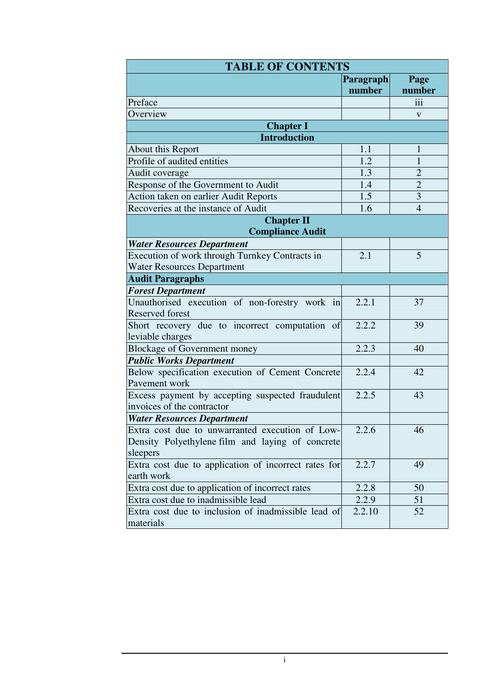| <b>TABLE OF CONTENTS</b>                             |                  |                |  |  |
|------------------------------------------------------|------------------|----------------|--|--|
|                                                      | <b>Paragraph</b> | Page           |  |  |
|                                                      | number           | number         |  |  |
| Preface                                              |                  | iii            |  |  |
| Overview                                             |                  | V              |  |  |
| <b>Chapter I</b>                                     |                  |                |  |  |
| <b>Introduction</b>                                  |                  |                |  |  |
| About this Report                                    | 1.1              | $\mathbf{1}$   |  |  |
| Profile of audited entities                          | 1.2              | $\mathbf{1}$   |  |  |
| Audit coverage                                       | 1.3              | $\overline{2}$ |  |  |
| Response of the Government to Audit                  | 1.4              | $\overline{c}$ |  |  |
| Action taken on earlier Audit Reports                | 1.5              | $\overline{3}$ |  |  |
| Recoveries at the instance of Audit                  | 1.6              | $\overline{4}$ |  |  |
| <b>Chapter II</b>                                    |                  |                |  |  |
| <b>Compliance Audit</b>                              |                  |                |  |  |
| <b>Water Resources Department</b>                    |                  |                |  |  |
| Execution of work through Turnkey Contracts in       | 2.1              | 5              |  |  |
| <b>Water Resources Department</b>                    |                  |                |  |  |
| <b>Audit Paragraphs</b>                              |                  |                |  |  |
| <b>Forest Department</b>                             |                  |                |  |  |
| Unauthorised execution of non-forestry work in       | 2.2.1            | 37             |  |  |
| <b>Reserved forest</b>                               |                  |                |  |  |
| Short recovery due to incorrect computation of       | 2.2.2            | 39             |  |  |
| leviable charges                                     |                  |                |  |  |
| <b>Blockage of Government money</b>                  | 2.2.3            | 40             |  |  |
| <b>Public Works Department</b>                       |                  |                |  |  |
| Below specification execution of Cement Concrete     | 2.2.4            | 42             |  |  |
| Pavement work                                        |                  |                |  |  |
| Excess payment by accepting suspected fraudulent     | 2.2.5            | 43             |  |  |
| invoices of the contractor                           |                  |                |  |  |
| <b>Water Resources Department</b>                    |                  |                |  |  |
| Extra cost due to unwarranted execution of Low-      | 2.2.6            | 46             |  |  |
| Density Polyethylene film and laying of concrete     |                  |                |  |  |
| sleepers                                             |                  |                |  |  |
| Extra cost due to application of incorrect rates for | 2.2.7            | 49             |  |  |
| earth work                                           |                  |                |  |  |
| Extra cost due to application of incorrect rates     | 2.2.8            | 50             |  |  |
| Extra cost due to inadmissible lead                  | 2.2.9            | 51             |  |  |
| Extra cost due to inclusion of inadmissible lead of  | 2.2.10           | 52             |  |  |
| materials                                            |                  |                |  |  |